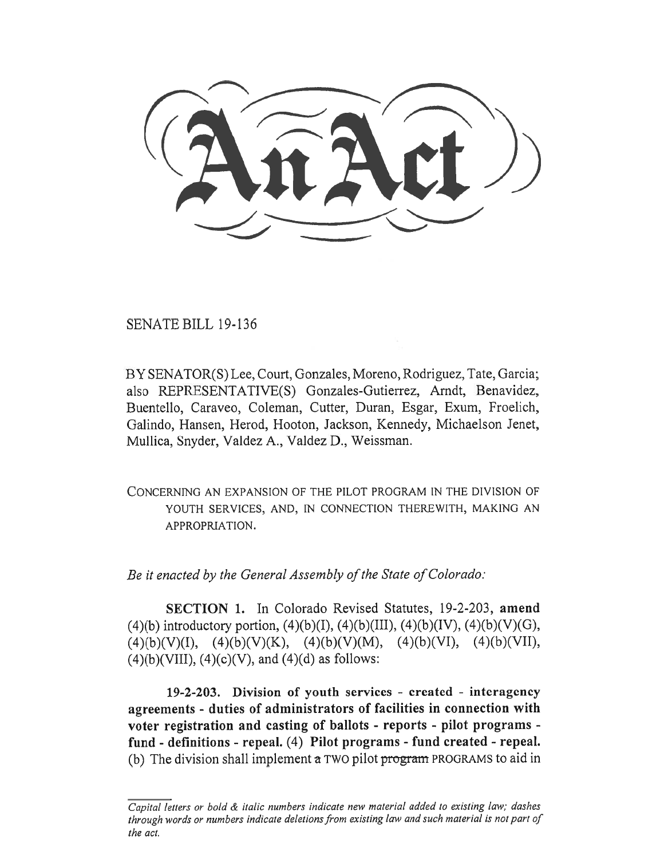SENATE BILL 19-136

BY SENATOR(S) Lee, Court, Gonzales, Moreno, Rodriguez, Tate, Garcia; also REPRESENTATIVE(S) Gonzales-Gutierrez, Arndt, Benavidez, Buentello, Caraveo, Coleman, Cutter, Duran, Esgar, Exum, Froelich, Galindo, Hansen, Herod, Hooton, Jackson, Kennedy, Michaelson Jenet, Mullica, Snyder, Valdez A., Valdez **D.,** Weissman.

CONCERNING AN EXPANSION OF THE PILOT PROGRAM IN THE DIVISION OF YOUTH SERVICES, AND, IN CONNECTION THEREWITH, MAKING AN APPROPRIATION.

*Be it enacted by the General Assembly of the State of Colorado:* 

**SECTION 1.** In Colorado Revised Statutes, 19-2-203, **amend**  (4)(b) introductory portion,  $(4)(b)(I)$ ,  $(4)(b)(III)$ ,  $(4)(b)(IV)$ ,  $(4)(b)(V)(G)$ ,  $(4)(b)(V)(I), (4)(b)(V)(K), (4)(b)(V)(M), (4)(b)(VI), (4)(b)(VII),$  $(4)(b)(VIII)$ ,  $(4)(c)(V)$ , and  $(4)(d)$  as follows:

**19-2-203. Division of youth services - created - interagency agreements - duties of administrators of facilities in connection with voter registration and casting of ballots - reports - pilot programs fund - definitions - repeal.** (4) **Pilot programs - fund created - repeal.**  (b) The division shall implement  $\alpha$  TWO pilot program PROGRAMS to aid in

*Capital letters or bold & italic numbers indicate new material added to existing law; dashes through words or numbers indicate deletions from existing law and such material is not part of the act.*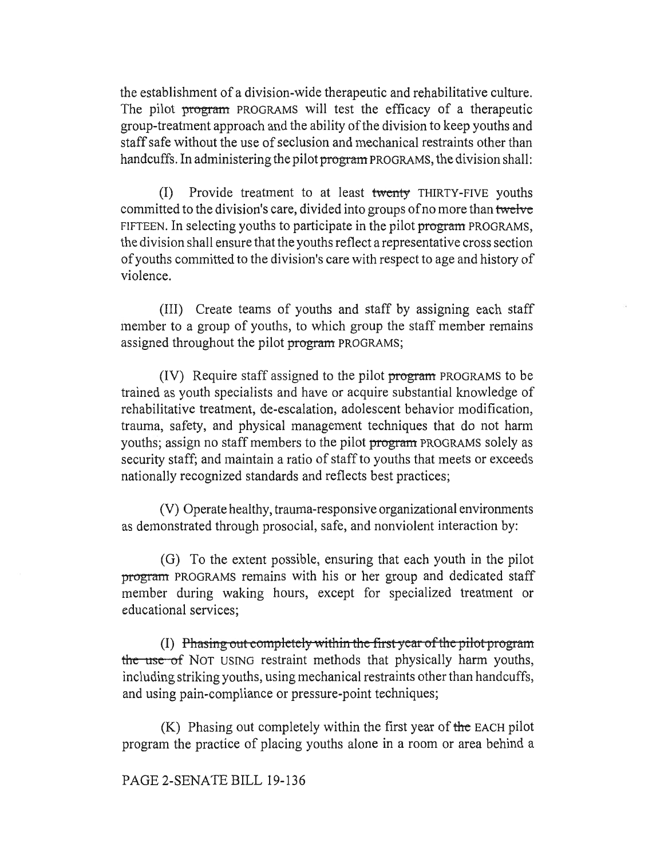the establishment of a division-wide therapeutic and rehabilitative culture. The pilot program PROGRAMS will test the efficacy of a therapeutic group-treatment approach and the ability of the division to keep youths and staff safe without the use of seclusion and mechanical restraints other than handcuffs. In administering the pilot program PROGRAMS, the division shall:

(I) Provide treatment to at least twenty THIRTY-FIVE youths committed to the division's care, divided into groups of no more than twelve FIFTEEN. In selecting youths to participate in the pilot program PROGRAMS, the division shall ensure that the youths reflect a representative cross section of youths committed to the division's care with respect to age and history of violence.

(III) Create teams of youths and staff by assigning each staff member to a group of youths, to which group the staff member remains assigned throughout the pilot program PROGRAMS;

(IV) Require staff assigned to the pilot program PROGRAMS to be trained as youth specialists and have or acquire substantial knowledge of rehabilitative treatment, de-escalation, adolescent behavior modification, trauma, safety, and physical management techniques that do not harm youths; assign no staff members to the pilot program PROGRAMS solely as security staff; and maintain a ratio of staff to youths that meets or exceeds nationally recognized standards and reflects best practices;

(V) Operate healthy, trauma-responsive organizational environments as demonstrated through prosocial, safe, and nonviolent interaction by:

(G) To the extent possible, ensuring that each youth in the pilot program PROGRAMS remains with his or her group and dedicated staff member during waking hours, except for specialized treatment or educational services;

(I) Phasing out completely within the first year of the pilot program the use of NOT USING restraint methods that physically harm youths, including striking youths, using mechanical restraints other than handcuffs, and using pain-compliance or pressure-point techniques;

 $(K)$  Phasing out completely within the first year of the EACH pilot program the practice of placing youths alone in a room or area behind a

## PAGE 2-SENATE BILL 19-136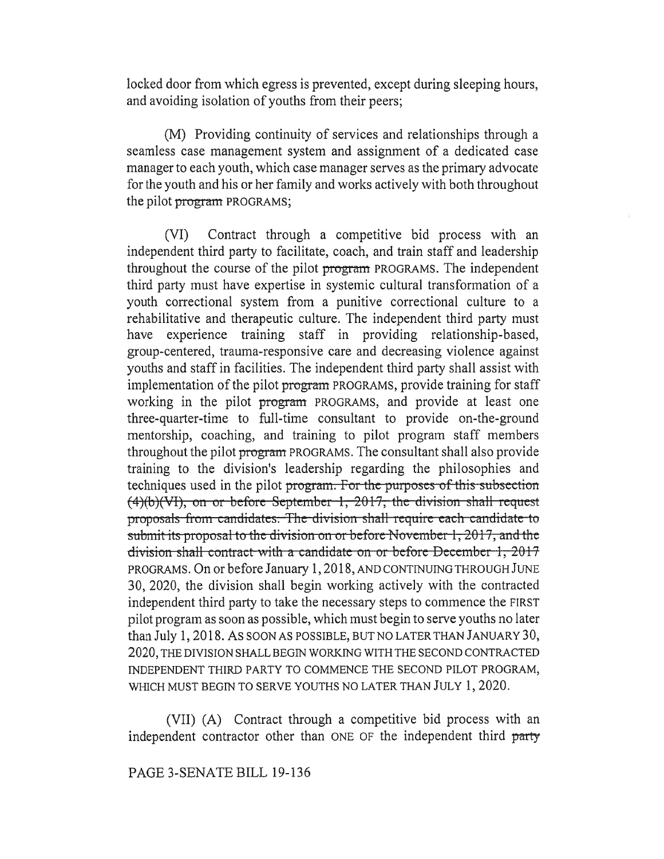locked door from which egress is prevented, except during sleeping hours, and avoiding isolation of youths from their peers;

(M) Providing continuity of services and relationships through a seamless case management system and assignment of a dedicated case manager to each youth, which case manager serves as the primary advocate for the youth and his or her family and works actively with both throughout the pilot program PROGRAMS;

(VI) Contract through a competitive bid process with an independent third party to facilitate, coach, and train staff and leadership throughout the course of the pilot program PROGRAMS. The independent third party must have expertise in systemic cultural transformation of a youth correctional system from a punitive correctional culture to a rehabilitative and therapeutic culture. The independent third party must have experience training staff in providing relationship-based, group-centered, trauma-responsive care and decreasing violence against youths and staff in facilities. The independent third party shall assist with implementation of the pilot program PROGRAMS, provide training for staff working in the pilot program PROGRAMS, and provide at least one three-quarter-time to full-time consultant to provide on-the-ground mentorship, coaching, and training to pilot program staff members throughout the pilot program PROGRAMS. The consultant shall also provide training to the division's leadership regarding the philosophies and techniques used in the pilot program. For the purposes of this subsection  $(4)(b)(VI)$ , on or before September 1, 2017, the division shall request proposals-from-candidates. The-division-shall require-each-candidate-to submit its proposal to the division on or before November 1, 2017, and the division shall contract with a candidate on or before December 1, 2017 PROGRAMS. On or before January 1, 2018, AND CONTINUING THROUGH JUNE 30, 2020, the division shall begin working actively with the contracted independent third party to take the necessary steps to commence the FIRST pilot program as soon as possible, which must begin to serve youths no later than July 1, 2018. As SOON AS POSSIBLE, BUT NO LATER THAN JANUARY 30, 2020, THE DIVISION SHALL BEGIN WORKING WITH THE SECOND CONTRACTED INDEPENDENT THIRD PARTY TO COMMENCE THE SECOND PILOT PROGRAM, WHICH MUST BEGIN TO SERVE YOUTHS NO LATER THAN JULY 1, 2020.

(VII) (A) Contract through a competitive bid process with an independent contractor other than ONE OF the independent third party

## PAGE 3-SENATE BILL 19-136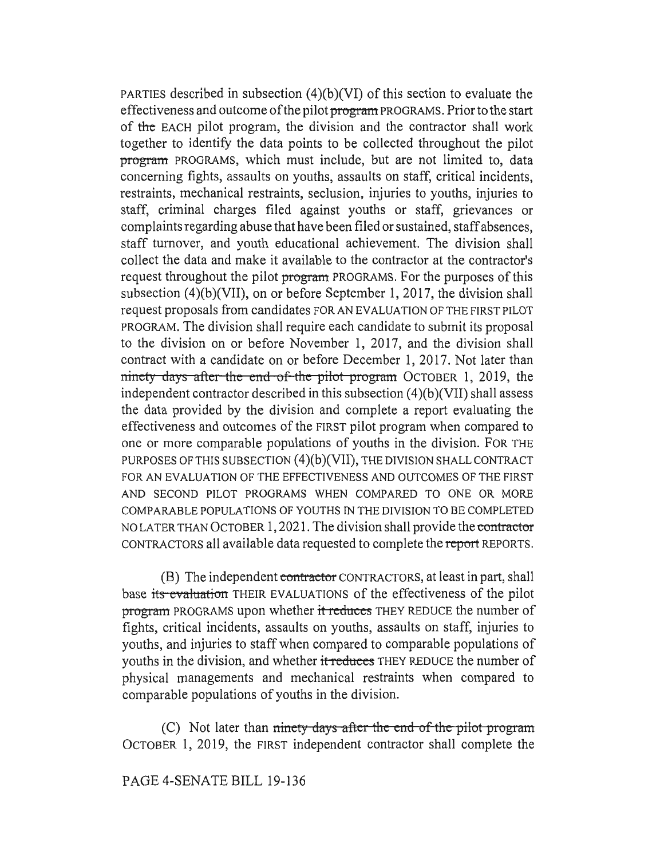PARTIES described in subsection  $(4)(b)(VI)$  of this section to evaluate the effectiveness and outcome of the pilot program PROGRAMS. Prior to the start of the EACH pilot program, the division and the contractor shall work together to identify the data points to be collected throughout the pilot program PROGRAMS, which must include, but are not limited to, data concerning fights, assaults on youths, assaults on staff, critical incidents, restraints, mechanical restraints, seclusion, injuries to youths, injuries to staff, criminal charges filed against youths or staff, grievances or complaints regarding abuse that have been filed or sustained, staff absences, staff turnover, and youth educational achievement. The division shall collect the data and make it available to the contractor at the contractor's request throughout the pilot program PROGRAMS. For the purposes of this subsection (4)(b)(VII), on or before September 1, 2017, the division shall request proposals from candidates FOR AN EVALUATION OF THE FIRST PILOT PROGRAM. The division shall require each candidate to submit its proposal to the division on or before November 1, 2017, and the division shall contract with a candidate on or before December 1, 2017. Not later than ninety days after the end of the pilot program OCTOBER 1, 2019, the independent contractor described in this subsection (4)(b)(VII) shall assess the data provided by the division and complete a report evaluating the effectiveness and outcomes of the FIRST pilot program when compared to one or more comparable populations of youths in the division. FOR THE PURPOSES OF THIS SUBSECTION (4)(b)(VII), THE DIVISION SHALL CONTRACT FOR AN EVALUATION OF THE EFFECTIVENESS AND OUTCOMES OF THE FIRST AND SECOND PILOT PROGRAMS WHEN COMPARED TO ONE OR MORE COMPARABLE POPULATIONS OF YOUTHS IN THE DIVISION TO BE COMPLETED NO LATER THAN OCTOBER 1, 2021. The division shall provide the contractor CONTRACTORS all available data requested to complete the report REPORTS.

(B) The independent contractor CONTRACTORS, at least in part, shall base its evaluation THEIR EVALUATIONS of the effectiveness of the pilot program PROGRAMS upon whether it reduces THEY REDUCE the number of fights, critical incidents, assaults on youths, assaults on staff, injuries to youths, and injuries to staff when compared to comparable populations of youths in the division, and whether it reduces THEY REDUCE the number of physical managements and mechanical restraints when compared to comparable populations of youths in the division.

(C) Not later than ninety days after the end of the pilot program OCTOBER 1, 2019, the FIRST independent contractor shall complete the

PAGE 4-SENATE BILL 19-136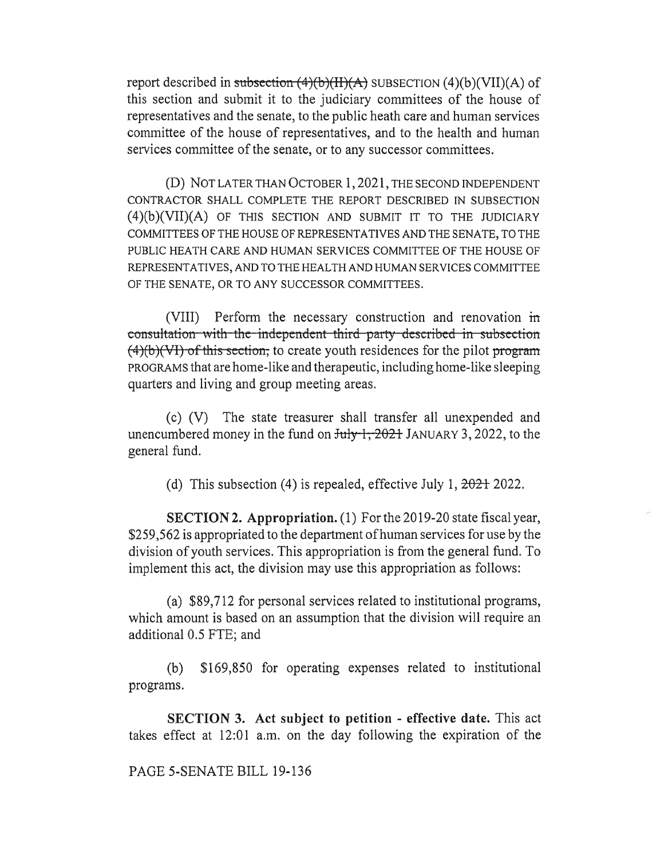report described in subsection  $(4)(b)(H)(A)$  SUBSECTION  $(4)(b)(VII)(A)$  of this section and submit it to the judiciary committees of the house of representatives and the senate, to the public heath care and human services committee of the house of representatives, and to the health and human services committee of the senate, or to any successor committees.

(D) NOT LATER THAN OCTOBER 1, 2021, THE SECOND INDEPENDENT CONTRACTOR SHALL COMPLETE THE REPORT DESCRIBED IN SUBSECTION (4)(b)(VII)(A) OF THIS SECTION AND SUBMIT IT TO THE JUDICIARY COMMITTEES OF THE HOUSE OF REPRESENTATIVES AND THE SENATE, TO THE PUBLIC HEATH CARE AND HUMAN SERVICES COMMITTEE OF THE HOUSE OF REPRESENTATIVES, AND TO THE HEALTH AND HUMAN SERVICES COMMITTEE OF THE SENATE, OR TO ANY SUCCESSOR COMMITTEES.

(VIII) Perform the necessary construction and renovation  $\overline{m}$ ensultation—with—the—independent—third—party—described in—subsection  $(4)(b)(V)$  of this section, to create youth residences for the pilot program PROGRAMS that are home-like and therapeutic, including home-like sleeping quarters and living and group meeting areas.

(c) (V) The state treasurer shall transfer all unexpended and unencumbered money in the fund on  $\frac{\text{July }1, 2021}{\text{JANUARY 3}, 2022}$ , to the general fund.

(d) This subsection (4) is repealed, effective July 1,  $2021$ - 2022.

**SECTION 2. Appropriation.** (1) For the 2019-20 state fiscal year, \$259,562 is appropriated to the department of human services for use by the division of youth services. This appropriation is from the general fund. To implement this act, the division may use this appropriation as follows:

(a) \$89,712 for personal services related to institutional programs, which amount is based on an assumption that the division will require an additional 0.5 FTE; and

(b) \$169,850 for operating expenses related to institutional programs.

**SECTION 3. Act subject to petition - effective date.** This act takes effect at 12:01 a.m. on the day following the expiration of the

PAGE 5-SENATE BILL 19-136